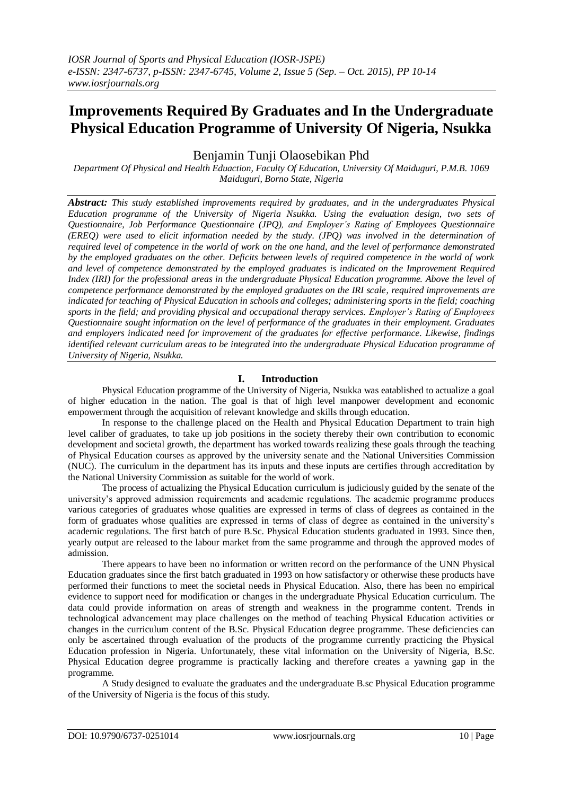# **Improvements Required By Graduates and In the Undergraduate Physical Education Programme of University Of Nigeria, Nsukka**

Benjamin Tunji Olaosebikan Phd

*Department Of Physical and Health Eduaction, Faculty Of Education, University Of Maiduguri, P.M.B. 1069 Maiduguri, Borno State, Nigeria*

*Abstract: This study established improvements required by graduates, and in the undergraduates Physical Education programme of the University of Nigeria Nsukka. Using the evaluation design, two sets of Questionnaire, Job Performance Questionnaire (JPQ), and Employer's Rating of Employees Questionnaire (EREQ) were used to elicit information needed by the study. (JPQ) was involved in the determination of required level of competence in the world of work on the one hand, and the level of performance demonstrated by the employed graduates on the other. Deficits between levels of required competence in the world of work and level of competence demonstrated by the employed graduates is indicated on the Improvement Required Index* (IRI) for the professional areas in the undergraduate Physical Education programme. Above the level of *competence performance demonstrated by the employed graduates on the IRI scale, required improvements are indicated for teaching of Physical Education in schools and colleges; administering sports in the field; coaching sports in the field; and providing physical and occupational therapy services. Employer's Rating of Employees Questionnaire sought information on the level of performance of the graduates in their employment. Graduates and employers indicated need for improvement of the graduates for effective performance. Likewise, findings identified relevant curriculum areas to be integrated into the undergraduate Physical Education programme of University of Nigeria, Nsukka.*

# **I. Introduction**

Physical Education programme of the University of Nigeria, Nsukka was eatablished to actualize a goal of higher education in the nation. The goal is that of high level manpower development and economic empowerment through the acquisition of relevant knowledge and skills through education.

In response to the challenge placed on the Health and Physical Education Department to train high level caliber of graduates, to take up job positions in the society thereby their own contribution to economic development and societal growth, the department has worked towards realizing these goals through the teaching of Physical Education courses as approved by the university senate and the National Universities Commission (NUC). The curriculum in the department has its inputs and these inputs are certifies through accreditation by the National University Commission as suitable for the world of work.

The process of actualizing the Physical Education curriculum is judiciously guided by the senate of the university's approved admission requirements and academic regulations. The academic programme produces various categories of graduates whose qualities are expressed in terms of class of degrees as contained in the form of graduates whose qualities are expressed in terms of class of degree as contained in the university's academic regulations. The first batch of pure B.Sc. Physical Education students graduated in 1993. Since then, yearly output are released to the labour market from the same programme and through the approved modes of admission.

There appears to have been no information or written record on the performance of the UNN Physical Education graduates since the first batch graduated in 1993 on how satisfactory or otherwise these products have performed their functions to meet the societal needs in Physical Education. Also, there has been no empirical evidence to support need for modification or changes in the undergraduate Physical Education curriculum. The data could provide information on areas of strength and weakness in the programme content. Trends in technological advancement may place challenges on the method of teaching Physical Education activities or changes in the curriculum content of the B.Sc. Physical Education degree programme. These deficiencies can only be ascertained through evaluation of the products of the programme currently practicing the Physical Education profession in Nigeria. Unfortunately, these vital information on the University of Nigeria, B.Sc. Physical Education degree programme is practically lacking and therefore creates a yawning gap in the programme.

A Study designed to evaluate the graduates and the undergraduate B.sc Physical Education programme of the University of Nigeria is the focus of this study.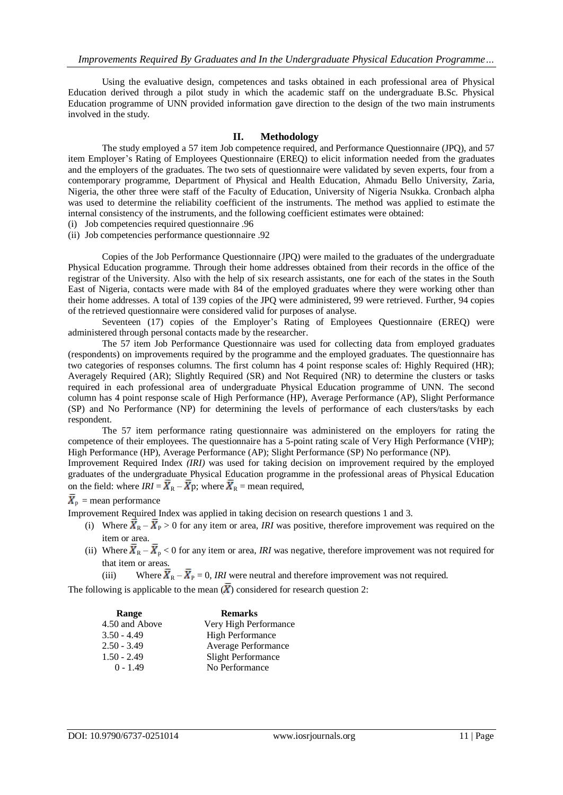Using the evaluative design, competences and tasks obtained in each professional area of Physical Education derived through a pilot study in which the academic staff on the undergraduate B.Sc. Physical Education programme of UNN provided information gave direction to the design of the two main instruments involved in the study.

### **II. Methodology**

The study employed a 57 item Job competence required, and Performance Questionnaire (JPQ), and 57 item Employer's Rating of Employees Questionnaire (EREQ) to elicit information needed from the graduates and the employers of the graduates. The two sets of questionnaire were validated by seven experts, four from a contemporary programme, Department of Physical and Health Education, Ahmadu Bello University, Zaria, Nigeria, the other three were staff of the Faculty of Education, University of Nigeria Nsukka. Cronbach alpha was used to determine the reliability coefficient of the instruments. The method was applied to estimate the internal consistency of the instruments, and the following coefficient estimates were obtained:

- (i) Job competencies required questionnaire .96
- (ii) Job competencies performance questionnaire .92

Copies of the Job Performance Questionnaire (JPQ) were mailed to the graduates of the undergraduate Physical Education programme. Through their home addresses obtained from their records in the office of the registrar of the University. Also with the help of six research assistants, one for each of the states in the South East of Nigeria, contacts were made with 84 of the employed graduates where they were working other than their home addresses. A total of 139 copies of the JPQ were administered, 99 were retrieved. Further, 94 copies of the retrieved questionnaire were considered valid for purposes of analyse.

Seventeen (17) copies of the Employer's Rating of Employees Questionnaire (EREQ) were administered through personal contacts made by the researcher.

The 57 item Job Performance Questionnaire was used for collecting data from employed graduates (respondents) on improvements required by the programme and the employed graduates. The questionnaire has two categories of responses columns. The first column has 4 point response scales of: Highly Required (HR); Averagely Required (AR); Slightly Required (SR) and Not Required (NR) to determine the clusters or tasks required in each professional area of undergraduate Physical Education programme of UNN. The second column has 4 point response scale of High Performance (HP), Average Performance (AP), Slight Performance (SP) and No Performance (NP) for determining the levels of performance of each clusters/tasks by each respondent.

The 57 item performance rating questionnaire was administered on the employers for rating the competence of their employees. The questionnaire has a 5-point rating scale of Very High Performance (VHP); High Performance (HP), Average Performance (AP); Slight Performance (SP) No performance (NP).

Improvement Required Index *(IRI)* was used for taking decision on improvement required by the employed graduates of the undergraduate Physical Education programme in the professional areas of Physical Education on the field: where  $IRI = \overline{X}_R - \overline{X}_P$ ; where  $\overline{X}_R$  = mean required,

# $\overline{X}_p$  = mean performance

Improvement Required Index was applied in taking decision on research questions 1 and 3.

- (i) Where  $\overline{\mathbf{X}}_R \overline{\mathbf{X}}_P > 0$  for any item or area, *IRI* was positive, therefore improvement was required on the item or area.
- (ii) Where  $\bar{X}_R \bar{X}_P < 0$  for any item or area, *IRI* was negative, therefore improvement was not required for that item or areas.
	- (iii) Where  $\bar{X}_{R} \bar{X}_{P} = 0$ , *IRI* were neutral and therefore improvement was not required.

The following is applicable to the mean  $(\bar{X})$  considered for research question 2:

| Range          | <b>Remarks</b>          |
|----------------|-------------------------|
| 4.50 and Above | Very High Performance   |
| $3.50 - 4.49$  | <b>High Performance</b> |
| $2.50 - 3.49$  | Average Performance     |
| $1.50 - 2.49$  | Slight Performance      |
| $0 - 1.49$     | No Performance          |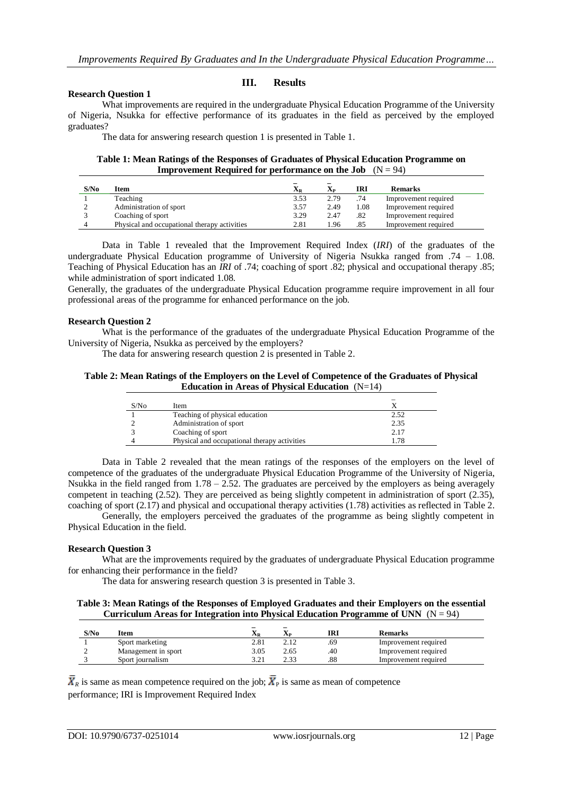#### **Research Question 1**

# **III. Results**

What improvements are required in the undergraduate Physical Education Programme of the University of Nigeria, Nsukka for effective performance of its graduates in the field as perceived by the employed graduates?

The data for answering research question 1 is presented in Table 1.

#### **Table 1: Mean Ratings of the Responses of Graduates of Physical Education Programme on Improvement Required for performance on the Job**  $(N = 94)$

| S/N <sub>0</sub> | Item                                         | $\mathbf{X}_\text{R}$ | $\mathbf{X}_{\mathbf{P}}$ | IRI  | <b>Remarks</b>       |
|------------------|----------------------------------------------|-----------------------|---------------------------|------|----------------------|
|                  | Teaching                                     | 3.53                  | 2.79                      | .74  | Improvement required |
|                  | Administration of sport                      | 3.57                  | 2.49                      | 1.08 | Improvement required |
|                  | Coaching of sport                            | 3.29                  | 2.47                      | .82  | Improvement required |
|                  | Physical and occupational therapy activities | 2.81                  | .96                       | .85  | Improvement required |

Data in Table 1 revealed that the Improvement Required Index (*IRI*) of the graduates of the undergraduate Physical Education programme of University of Nigeria Nsukka ranged from .74 – 1.08. Teaching of Physical Education has an *IRI* of .74; coaching of sport .82; physical and occupational therapy .85; while administration of sport indicated 1.08.

Generally, the graduates of the undergraduate Physical Education programme require improvement in all four professional areas of the programme for enhanced performance on the job.

#### **Research Question 2**

What is the performance of the graduates of the undergraduate Physical Education Programme of the University of Nigeria, Nsukka as perceived by the employers?

The data for answering research question 2 is presented in Table 2.

#### **Table 2: Mean Ratings of the Employers on the Level of Competence of the Graduates of Physical Education in Areas of Physical Education** (N=14)

| S/N <sub>0</sub> | Item                                         |      |
|------------------|----------------------------------------------|------|
|                  | Teaching of physical education               | 2.52 |
|                  | Administration of sport                      | 2.35 |
|                  | Coaching of sport                            | 2.17 |
|                  | Physical and occupational therapy activities | 1.78 |

Data in Table 2 revealed that the mean ratings of the responses of the employers on the level of competence of the graduates of the undergraduate Physical Education Programme of the University of Nigeria, Nsukka in the field ranged from 1.78 – 2.52. The graduates are perceived by the employers as being averagely competent in teaching (2.52). They are perceived as being slightly competent in administration of sport (2.35), coaching of sport (2.17) and physical and occupational therapy activities (1.78) activities as reflected in Table 2.

Generally, the employers perceived the graduates of the programme as being slightly competent in Physical Education in the field.

# **Research Question 3**

What are the improvements required by the graduates of undergraduate Physical Education programme for enhancing their performance in the field?

The data for answering research question 3 is presented in Table 3.

#### **Table 3: Mean Ratings of the Responses of Employed Graduates and their Employers on the essential Curriculum Areas for Integration into Physical Education Programme of UNN**  $(N = 94)$

| S/No | <b>Item</b>         | ΔR    | $\overline{\phantom{a}}$<br><b>Ap</b> | IRI | <b>Remarks</b>       |
|------|---------------------|-------|---------------------------------------|-----|----------------------|
|      | Sport marketing     | 2.81  |                                       | .69 | Improvement required |
|      | Management in sport | 3.05  | 2.65                                  | .40 | Improvement required |
|      | Sport journalism    | 3 7 1 | n 22                                  | .88 | Improvement required |

 $\bar{X}_R$  is same as mean competence required on the job;  $\bar{X}_P$  is same as mean of competence performance; IRI is Improvement Required Index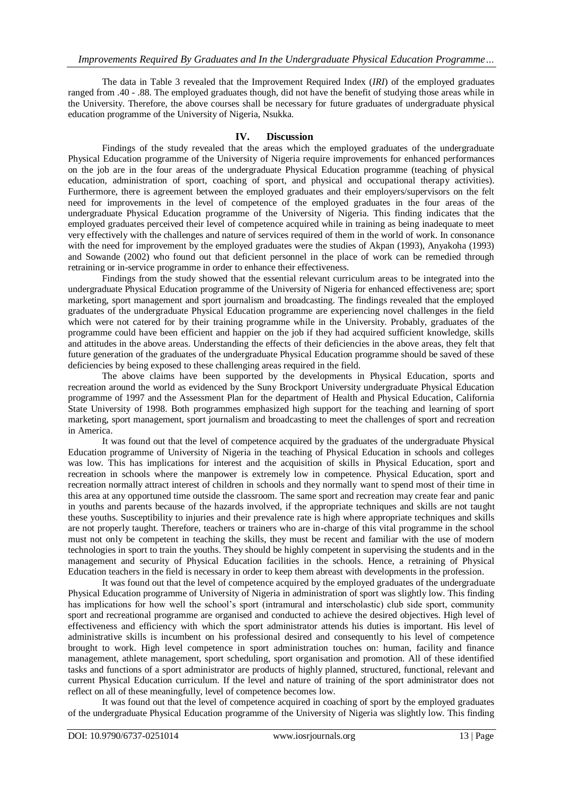The data in Table 3 revealed that the Improvement Required Index (*IRI*) of the employed graduates ranged from .40 - .88. The employed graduates though, did not have the benefit of studying those areas while in the University. Therefore, the above courses shall be necessary for future graduates of undergraduate physical education programme of the University of Nigeria, Nsukka.

# **IV. Discussion**

Findings of the study revealed that the areas which the employed graduates of the undergraduate Physical Education programme of the University of Nigeria require improvements for enhanced performances on the job are in the four areas of the undergraduate Physical Education programme (teaching of physical education, administration of sport, coaching of sport, and physical and occupational therapy activities). Furthermore, there is agreement between the employed graduates and their employers/supervisors on the felt need for improvements in the level of competence of the employed graduates in the four areas of the undergraduate Physical Education programme of the University of Nigeria. This finding indicates that the employed graduates perceived their level of competence acquired while in training as being inadequate to meet very effectively with the challenges and nature of services required of them in the world of work. In consonance with the need for improvement by the employed graduates were the studies of Akpan (1993), Anyakoha (1993) and Sowande (2002) who found out that deficient personnel in the place of work can be remedied through retraining or in-service programme in order to enhance their effectiveness.

Findings from the study showed that the essential relevant curriculum areas to be integrated into the undergraduate Physical Education programme of the University of Nigeria for enhanced effectiveness are; sport marketing, sport management and sport journalism and broadcasting. The findings revealed that the employed graduates of the undergraduate Physical Education programme are experiencing novel challenges in the field which were not catered for by their training programme while in the University. Probably, graduates of the programme could have been efficient and happier on the job if they had acquired sufficient knowledge, skills and attitudes in the above areas. Understanding the effects of their deficiencies in the above areas, they felt that future generation of the graduates of the undergraduate Physical Education programme should be saved of these deficiencies by being exposed to these challenging areas required in the field.

The above claims have been supported by the developments in Physical Education, sports and recreation around the world as evidenced by the Suny Brockport University undergraduate Physical Education programme of 1997 and the Assessment Plan for the department of Health and Physical Education, California State University of 1998. Both programmes emphasized high support for the teaching and learning of sport marketing, sport management, sport journalism and broadcasting to meet the challenges of sport and recreation in America.

It was found out that the level of competence acquired by the graduates of the undergraduate Physical Education programme of University of Nigeria in the teaching of Physical Education in schools and colleges was low. This has implications for interest and the acquisition of skills in Physical Education, sport and recreation in schools where the manpower is extremely low in competence. Physical Education, sport and recreation normally attract interest of children in schools and they normally want to spend most of their time in this area at any opportuned time outside the classroom. The same sport and recreation may create fear and panic in youths and parents because of the hazards involved, if the appropriate techniques and skills are not taught these youths. Susceptibility to injuries and their prevalence rate is high where appropriate techniques and skills are not properly taught. Therefore, teachers or trainers who are in-charge of this vital programme in the school must not only be competent in teaching the skills, they must be recent and familiar with the use of modern technologies in sport to train the youths. They should be highly competent in supervising the students and in the management and security of Physical Education facilities in the schools. Hence, a retraining of Physical Education teachers in the field is necessary in order to keep them abreast with developments in the profession.

It was found out that the level of competence acquired by the employed graduates of the undergraduate Physical Education programme of University of Nigeria in administration of sport was slightly low. This finding has implications for how well the school's sport (intramural and interscholastic) club side sport, community sport and recreational programme are organised and conducted to achieve the desired objectives. High level of effectiveness and efficiency with which the sport administrator attends his duties is important. His level of administrative skills is incumbent on his professional desired and consequently to his level of competence brought to work. High level competence in sport administration touches on: human, facility and finance management, athlete management, sport scheduling, sport organisation and promotion. All of these identified tasks and functions of a sport administrator are products of highly planned, structured, functional, relevant and current Physical Education curriculum. If the level and nature of training of the sport administrator does not reflect on all of these meaningfully, level of competence becomes low.

It was found out that the level of competence acquired in coaching of sport by the employed graduates of the undergraduate Physical Education programme of the University of Nigeria was slightly low. This finding